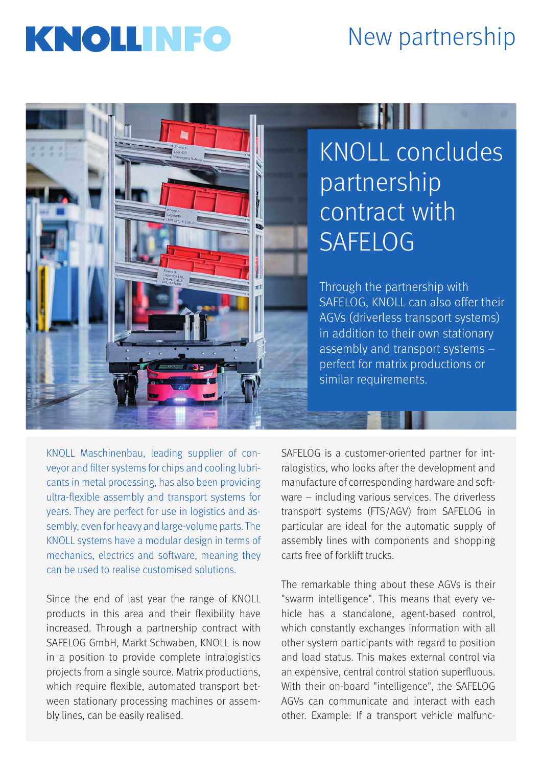## **INFO** New partnership



## KNOLL concludes partnership contract with **SAFELOG**

Through the partnership with SAFELOG, KNOLL can also offer their AGVs (driverless transport systems) in addition to their own stationary assembly and transport systems – perfect for matrix productions or similar requirements.

KNOLL Maschinenbau, leading supplier of conveyor and filter systems for chips and cooling lubricants in metal processing, has also been providing ultra-flexible assembly and transport systems for years. They are perfect for use in logistics and assembly, even for heavy and large-volume parts. The KNOLL systems have a modular design in terms of mechanics, electrics and software, meaning they can be used to realise customised solutions.

Since the end of last year the range of KNOLL products in this area and their flexibility have increased. Through a partnership contract with SAFELOG GmbH, Markt Schwaben, KNOLL is now in a position to provide complete intralogistics projects from a single source. Matrix productions, which require flexible, automated transport between stationary processing machines or assembly lines, can be easily realised.

SAFELOG is a customer-oriented partner for intralogistics, who looks after the development and manufacture of corresponding hardware and software – including various services. The driverless transport systems (FTS/AGV) from SAFELOG in particular are ideal for the automatic supply of assembly lines with components and shopping carts free of forklift trucks.

The remarkable thing about these AGVs is their "swarm intelligence". This means that every vehicle has a standalone, agent-based control, which constantly exchanges information with all other system participants with regard to position and load status. This makes external control via an expensive, central control station superfluous. With their on-board "intelligence", the SAFELOG AGVs can communicate and interact with each other. Example: If a transport vehicle malfunc-